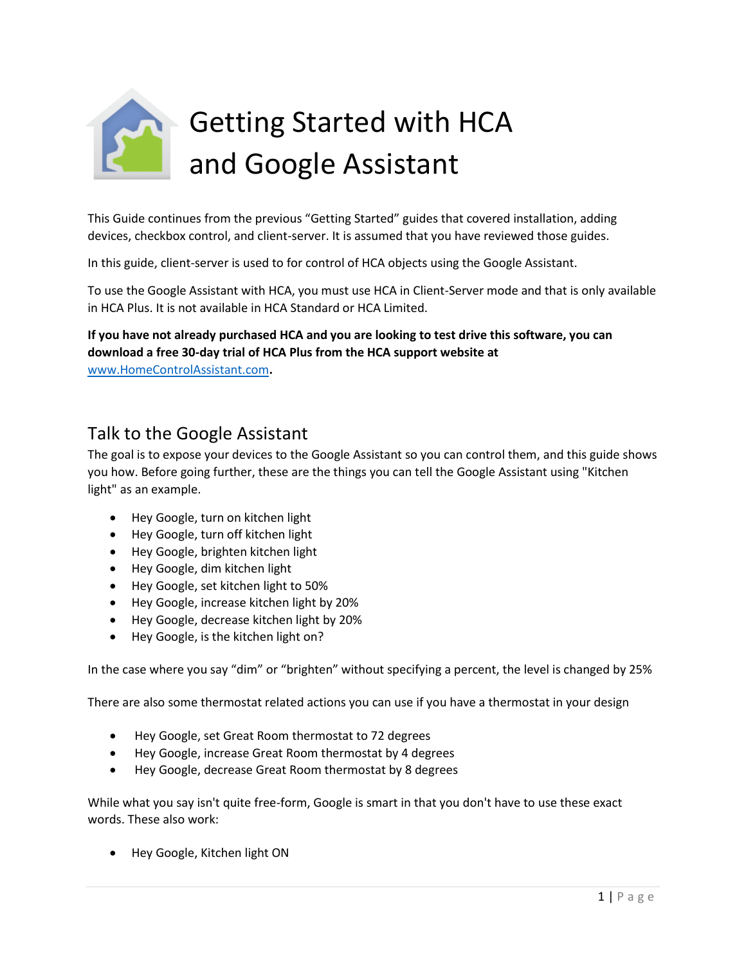

This Guide continues from the previous "Getting Started" guides that covered installation, adding devices, checkbox control, and client-server. It is assumed that you have reviewed those guides.

In this guide, client-server is used to for control of HCA objects using the Google Assistant.

To use the Google Assistant with HCA, you must use HCA in Client-Server mode and that is only available in HCA Plus. It is not available in HCA Standard or HCA Limited.

### **If you have not already purchased HCA and you are looking to test drive this software, you can download a free 30-day trial of HCA Plus from the HCA support website at**

[www.HomeControlAssistant.com](http://www.homecontrolassistant.com/)**.** 

## Talk to the Google Assistant

The goal is to expose your devices to the Google Assistant so you can control them, and this guide shows you how. Before going further, these are the things you can tell the Google Assistant using "Kitchen light" as an example.

- Hey Google, turn on kitchen light
- Hey Google, turn off kitchen light
- Hey Google, brighten kitchen light
- Hey Google, dim kitchen light
- Hey Google, set kitchen light to 50%
- Hey Google, increase kitchen light by 20%
- Hey Google, decrease kitchen light by 20%
- Hey Google, is the kitchen light on?

In the case where you say "dim" or "brighten" without specifying a percent, the level is changed by 25%

There are also some thermostat related actions you can use if you have a thermostat in your design

- Hey Google, set Great Room thermostat to 72 degrees
- Hey Google, increase Great Room thermostat by 4 degrees
- Hey Google, decrease Great Room thermostat by 8 degrees

While what you say isn't quite free-form, Google is smart in that you don't have to use these exact words. These also work:

• Hey Google, Kitchen light ON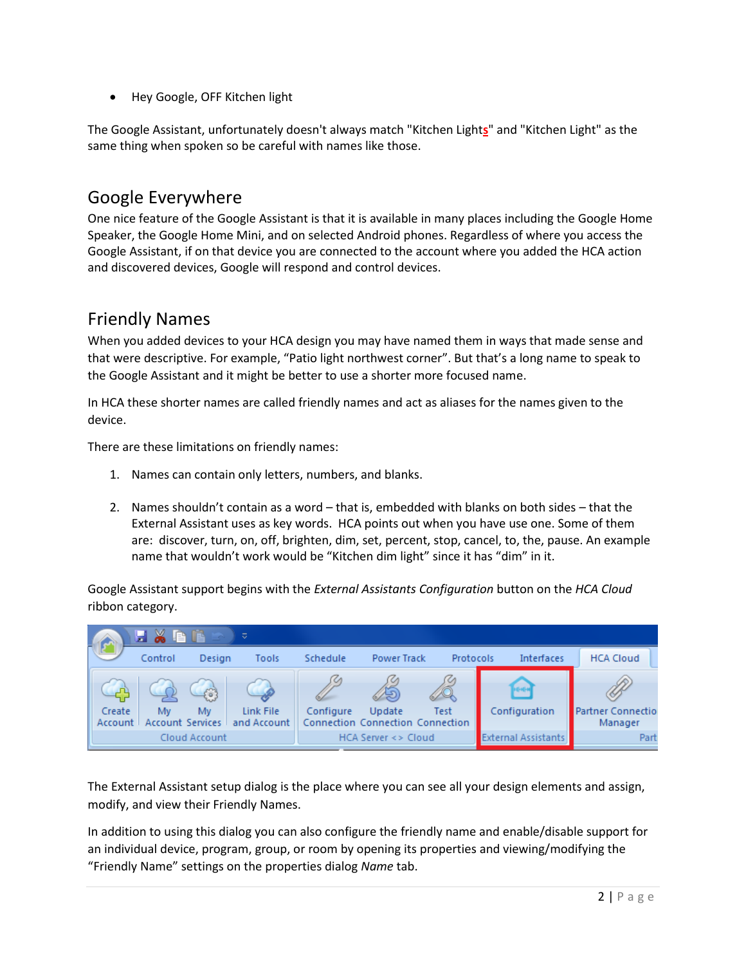• Hey Google, OFF Kitchen light

The Google Assistant, unfortunately doesn't always match "Kitchen Light**s**" and "Kitchen Light" as the same thing when spoken so be careful with names like those.

### Google Everywhere

One nice feature of the Google Assistant is that it is available in many places including the Google Home Speaker, the Google Home Mini, and on selected Android phones. Regardless of where you access the Google Assistant, if on that device you are connected to the account where you added the HCA action and discovered devices, Google will respond and control devices.

### Friendly Names

When you added devices to your HCA design you may have named them in ways that made sense and that were descriptive. For example, "Patio light northwest corner". But that's a long name to speak to the Google Assistant and it might be better to use a shorter more focused name.

In HCA these shorter names are called friendly names and act as aliases for the names given to the device.

There are these limitations on friendly names:

- 1. Names can contain only letters, numbers, and blanks.
- 2. Names shouldn't contain as a word that is, embedded with blanks on both sides that the External Assistant uses as key words. HCA points out when you have use one. Some of them are: discover, turn, on, off, brighten, dim, set, percent, stop, cancel, to, the, pause. An example name that wouldn't work would be "Kitchen dim light" since it has "dim" in it.

Google Assistant support begins with the *External Assistants Configuration* button on the *HCA Cloud* ribbon category.



The External Assistant setup dialog is the place where you can see all your design elements and assign, modify, and view their Friendly Names.

In addition to using this dialog you can also configure the friendly name and enable/disable support for an individual device, program, group, or room by opening its properties and viewing/modifying the "Friendly Name" settings on the properties dialog *Name* tab.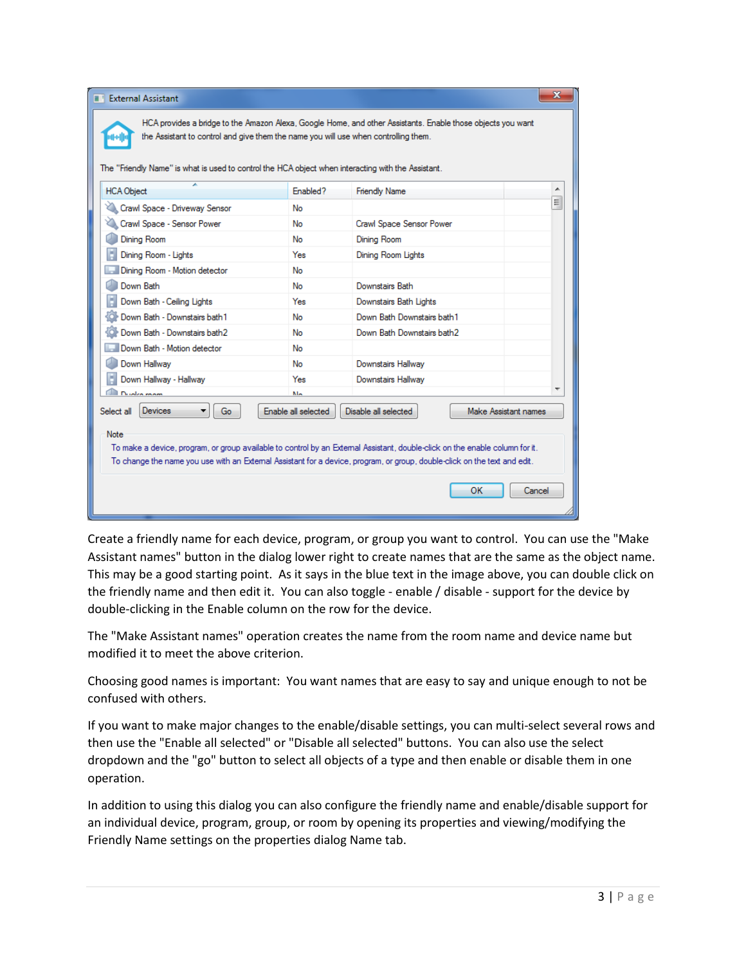| The "Friendly Name" is what is used to control the HCA object when interacting with the Assistant.<br><b>HCA Object</b><br>Enabled?<br><b>Friendly Name</b>                                                                                                                                                                                                             |                |                          |   |  |
|-------------------------------------------------------------------------------------------------------------------------------------------------------------------------------------------------------------------------------------------------------------------------------------------------------------------------------------------------------------------------|----------------|--------------------------|---|--|
| Crawl Space - Driveway Sensor                                                                                                                                                                                                                                                                                                                                           | No             |                          | E |  |
| Crawl Space - Sensor Power                                                                                                                                                                                                                                                                                                                                              | No             | Crawl Space Sensor Power |   |  |
| Dining Room                                                                                                                                                                                                                                                                                                                                                             | No             | Dining Room              |   |  |
| Dining Room - Lights                                                                                                                                                                                                                                                                                                                                                    | Yes            | Dining Room Lights       |   |  |
| Dining Room - Motion detector                                                                                                                                                                                                                                                                                                                                           | No             |                          |   |  |
| Down Bath                                                                                                                                                                                                                                                                                                                                                               | No             | Downstairs Bath          |   |  |
| Down Bath - Ceiling Lights                                                                                                                                                                                                                                                                                                                                              | Yes            | Downstairs Bath Lights   |   |  |
| Down Bath - Downstairs bath1<br>Down Bath Downstairs bath1<br>No                                                                                                                                                                                                                                                                                                        |                |                          |   |  |
| Down Bath - Downstairs bath2<br>Down Bath Downstairs bath2<br>No                                                                                                                                                                                                                                                                                                        |                |                          |   |  |
| Down Bath - Motion detector<br>No                                                                                                                                                                                                                                                                                                                                       |                |                          |   |  |
| Down Hallway                                                                                                                                                                                                                                                                                                                                                            | No             | Downstairs Hallway       |   |  |
| Down Hallway - Hallway                                                                                                                                                                                                                                                                                                                                                  | Yes            | Downstairs Hallway       |   |  |
| Dualco mom                                                                                                                                                                                                                                                                                                                                                              | M <sub>a</sub> |                          |   |  |
| Devices<br>Enable all selected<br>Disable all selected<br>Make Assistant names<br>Select all<br>Go<br>Note<br>To make a device, program, or group available to control by an External Assistant, double-click on the enable column for it.<br>To change the name you use with an External Assistant for a device, program, or group, double-click on the text and edit. |                |                          |   |  |

Create a friendly name for each device, program, or group you want to control. You can use the "Make Assistant names" button in the dialog lower right to create names that are the same as the object name. This may be a good starting point. As it says in the blue text in the image above, you can double click on the friendly name and then edit it. You can also toggle - enable / disable - support for the device by double-clicking in the Enable column on the row for the device.

The "Make Assistant names" operation creates the name from the room name and device name but modified it to meet the above criterion.

Choosing good names is important: You want names that are easy to say and unique enough to not be confused with others.

If you want to make major changes to the enable/disable settings, you can multi-select several rows and then use the "Enable all selected" or "Disable all selected" buttons. You can also use the select dropdown and the "go" button to select all objects of a type and then enable or disable them in one operation.

In addition to using this dialog you can also configure the friendly name and enable/disable support for an individual device, program, group, or room by opening its properties and viewing/modifying the Friendly Name settings on the properties dialog Name tab.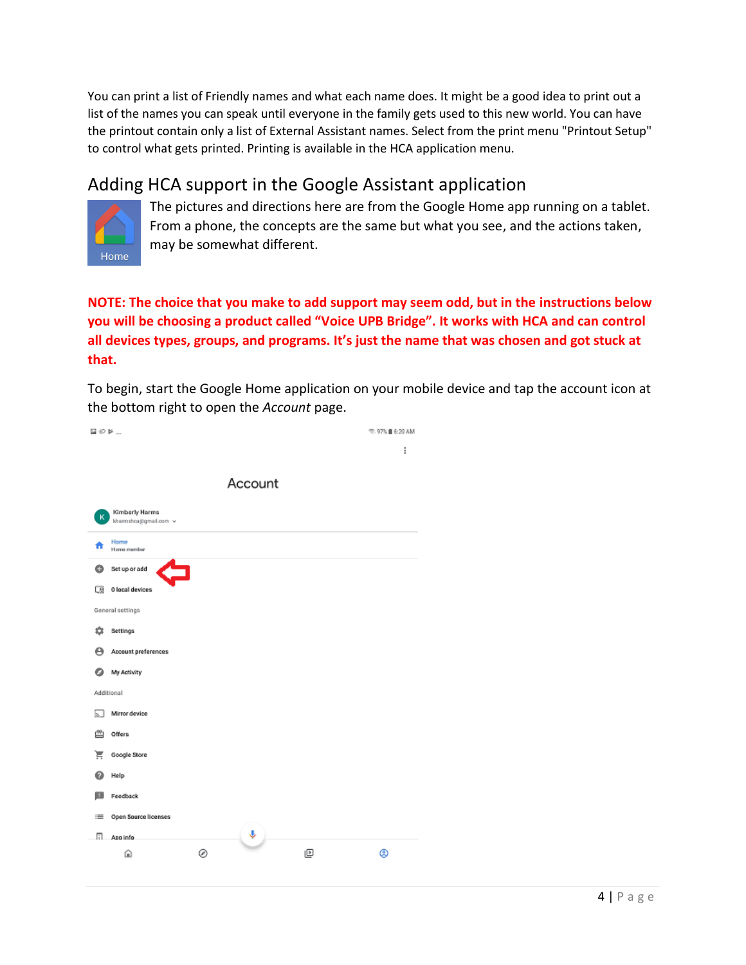You can print a list of Friendly names and what each name does. It might be a good idea to print out a list of the names you can speak until everyone in the family gets used to this new world. You can have the printout contain only a list of External Assistant names. Select from the print menu "Printout Setup" to control what gets printed. Printing is available in the HCA application menu.

# Adding HCA support in the Google Assistant application



The pictures and directions here are from the Google Home app running on a tablet. From a phone, the concepts are the same but what you see, and the actions taken, may be somewhat different.

### **NOTE: The choice that you make to add support may seem odd, but in the instructions below you will be choosing a product called "Voice UPB Bridge". It works with HCA and can control all devices types, groups, and programs. It's just the name that was chosen and got stuck at that.**

To begin, start the Google Home application on your mobile device and tap the account icon at the bottom right to open the *Account* page.

| $\boxtimes$ $\otimes$ $\blacktriangleright$ |                                        |   |         |   | ©: 97% ■ 6:20 AM |
|---------------------------------------------|----------------------------------------|---|---------|---|------------------|
|                                             |                                        |   |         |   | İ                |
|                                             |                                        |   |         |   |                  |
|                                             |                                        |   | Account |   |                  |
|                                             |                                        |   |         |   |                  |
| к                                           | Kimberly Harms<br>khamshca@gmail.com v |   |         |   |                  |
|                                             | Home<br>Home member                    |   |         |   |                  |
| ٥                                           | Set up or add<br>드                     |   |         |   |                  |
| 口頭                                          | 0 local devices                        |   |         |   |                  |
|                                             | General settings                       |   |         |   |                  |
| జ                                           | Settings                               |   |         |   |                  |
| Θ                                           | Account preferences                    |   |         |   |                  |
| Θ                                           | My Activity                            |   |         |   |                  |
| Additional                                  |                                        |   |         |   |                  |
| ЬJ                                          | Mirror device                          |   |         |   |                  |
| 甴                                           | Offers                                 |   |         |   |                  |
| ਵ                                           | Google Store                           |   |         |   |                  |
| 0                                           | Help                                   |   |         |   |                  |
| E                                           | Feedback                               |   |         |   |                  |
| 三                                           | Open Source licenses                   |   |         |   |                  |
| п.                                          | App info                               |   | Ŷ,      |   |                  |
|                                             | ⋒                                      | ◎ |         | ₪ | @                |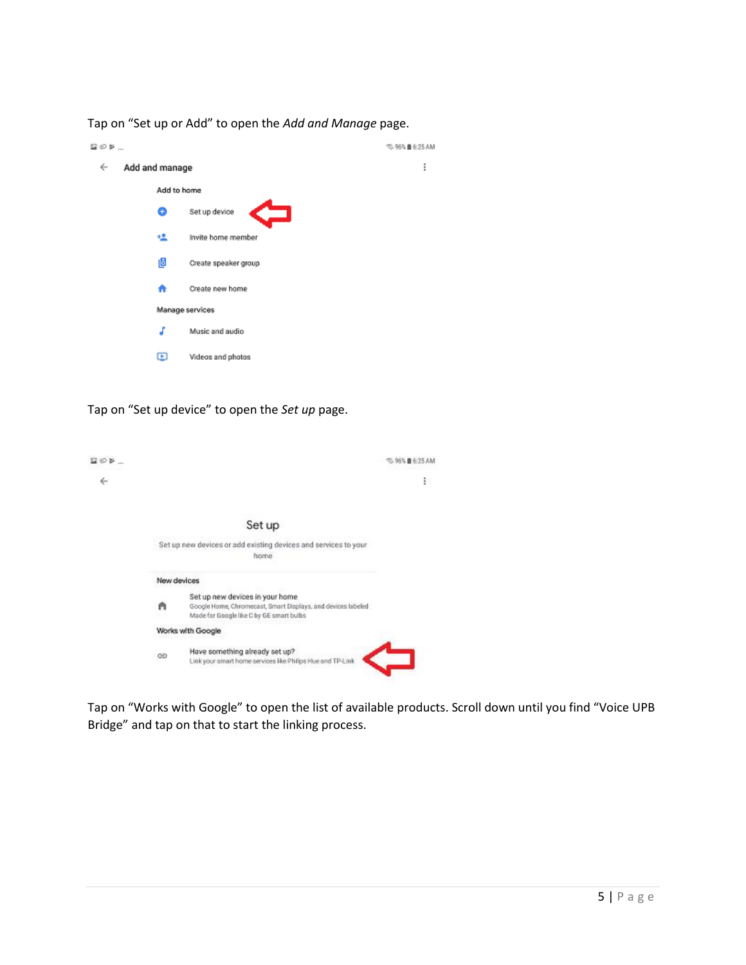Tap on "Set up or Add" to open the *Add and Manage* page.

| $\boxtimes$ $\oslash$ $\triangleright$ |                 |                      | <sub>55</sub> 96% ■ 6:25 AM |
|----------------------------------------|-----------------|----------------------|-----------------------------|
| ←                                      | Add and manage  |                      | I                           |
|                                        | Add to home     |                      |                             |
|                                        | 8               | Set up device        |                             |
|                                        | 塭               | Invite home member   |                             |
|                                        | Ŀ               | Create speaker group |                             |
|                                        | A               | Create new home      |                             |
|                                        | Manage services |                      |                             |
|                                        | J               | Music and audio      |                             |
|                                        | ▣               | Videos and photos    |                             |

Tap on "Set up device" to open the *Set up* page.

| ⊛າ⊳ |             |                                                                                                                                             | © 05% @ 6:25 AM |
|-----|-------------|---------------------------------------------------------------------------------------------------------------------------------------------|-----------------|
| ←   |             |                                                                                                                                             | Ð               |
|     |             |                                                                                                                                             |                 |
|     |             | Set up                                                                                                                                      |                 |
|     |             | Set up new devices or add existing devices and services to your<br>home                                                                     |                 |
|     | New devices |                                                                                                                                             |                 |
|     | A           | Set up new devices in your home<br>Google Home, Chromecast, Smart Displays, and devices labeled<br>Made for Google like C by GE smart buibs |                 |
|     |             | Works with Google                                                                                                                           |                 |
|     | ⊕           | Have something already set up?<br>Link your smart home services like Philips Hue and TP-Link                                                |                 |

Tap on "Works with Google" to open the list of available products. Scroll down until you find "Voice UPB Bridge" and tap on that to start the linking process.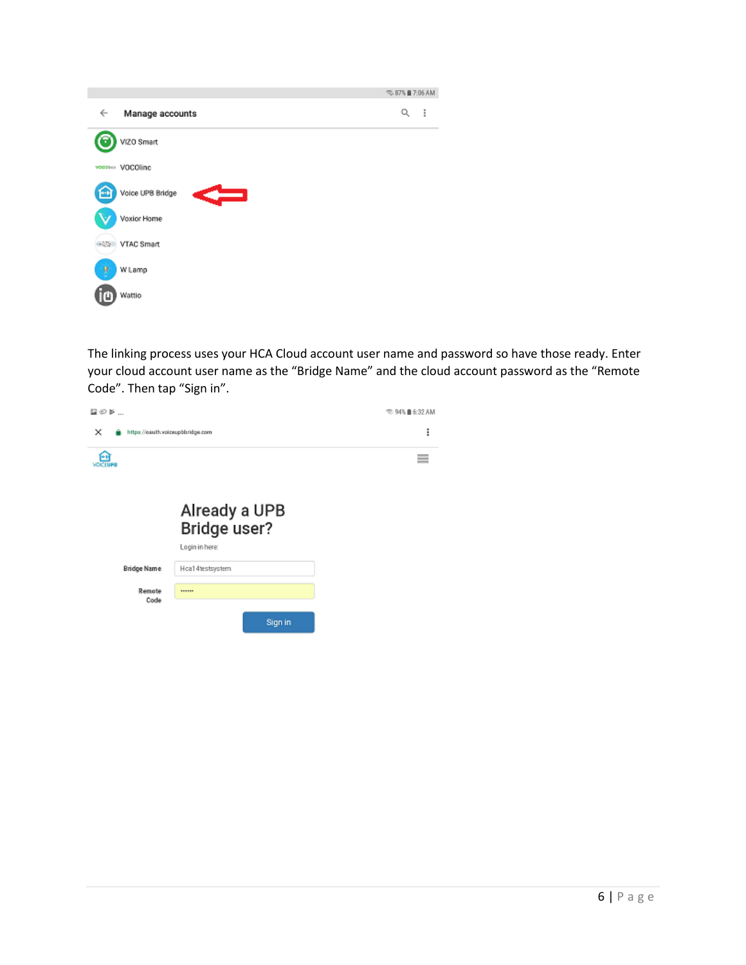|                            | © 87% ■ 7:06 AM |   |
|----------------------------|-----------------|---|
| ←<br>Manage accounts       | Q               | ÷ |
| VIZO Smart                 |                 |   |
| vocesion VOCOlline         |                 |   |
| c<br>Voice UPB Bridge      |                 |   |
| Voxior Home                |                 |   |
| <b>VTAC Smart</b><br>GAZZO |                 |   |
| ۹<br>W Lamp                |                 |   |
| Wattio                     |                 |   |

The linking process uses your HCA Cloud account user name and password so have those ready. Enter your cloud account user name as the "Bridge Name" and the cloud account password as the "Remote Code". Then tap "Sign in".

| $\boxtimes$ $\oslash$ $\triangleright$ |                 | © 94% ■ 6:32 AM                     |
|----------------------------------------|-----------------|-------------------------------------|
| ×<br>https://oauth.voiceupbbridge.com  |                 | ፧                                   |
| ۰<br><b>/OKEUPS</b>                    |                 | $\overline{\phantom{a}}$<br>-<br>-- |
|                                        |                 |                                     |
|                                        | Already a UPB   |                                     |
|                                        | Bridge user?    |                                     |
|                                        | Login in here:  |                                     |
| <b>Bridge Name</b>                     | Hoa14testsystem |                                     |
| Remote<br>Code                         | ------          |                                     |
|                                        | Sign in         |                                     |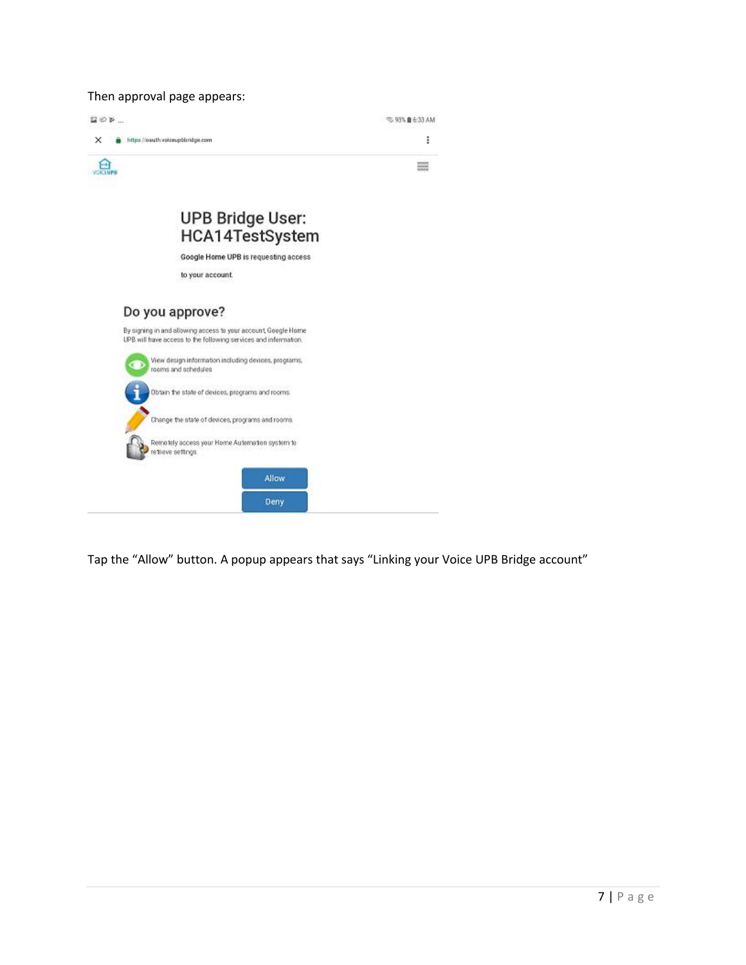#### Then approval page appears:

| 20 F                                                                                                                                                 | 5,93% <b>8</b> 6:33 AM |  |
|------------------------------------------------------------------------------------------------------------------------------------------------------|------------------------|--|
| ×<br>https://oauth.voiceupbbridge.com                                                                                                                | I                      |  |
|                                                                                                                                                      |                        |  |
| <b>UPB Bridge User:</b><br>HCA14TestSystem                                                                                                           |                        |  |
| Google Home UPB is requesting access                                                                                                                 |                        |  |
| to your account.                                                                                                                                     |                        |  |
| Do you approve?<br>By signing in and allowing access to your account, Google Home<br>UPB will have access to the following services and information. |                        |  |
| View design information including devices, programs,<br>rooms and schedules                                                                          |                        |  |
| Obtain the state of devices, programs and rooms.                                                                                                     |                        |  |
| Change the state of devices, programs and rooms.                                                                                                     |                        |  |
| Remotely access your Home Automation system to<br>retrieve settings                                                                                  |                        |  |
| Allow                                                                                                                                                |                        |  |
| Deny                                                                                                                                                 |                        |  |

Tap the "Allow" button. A popup appears that says "Linking your Voice UPB Bridge account"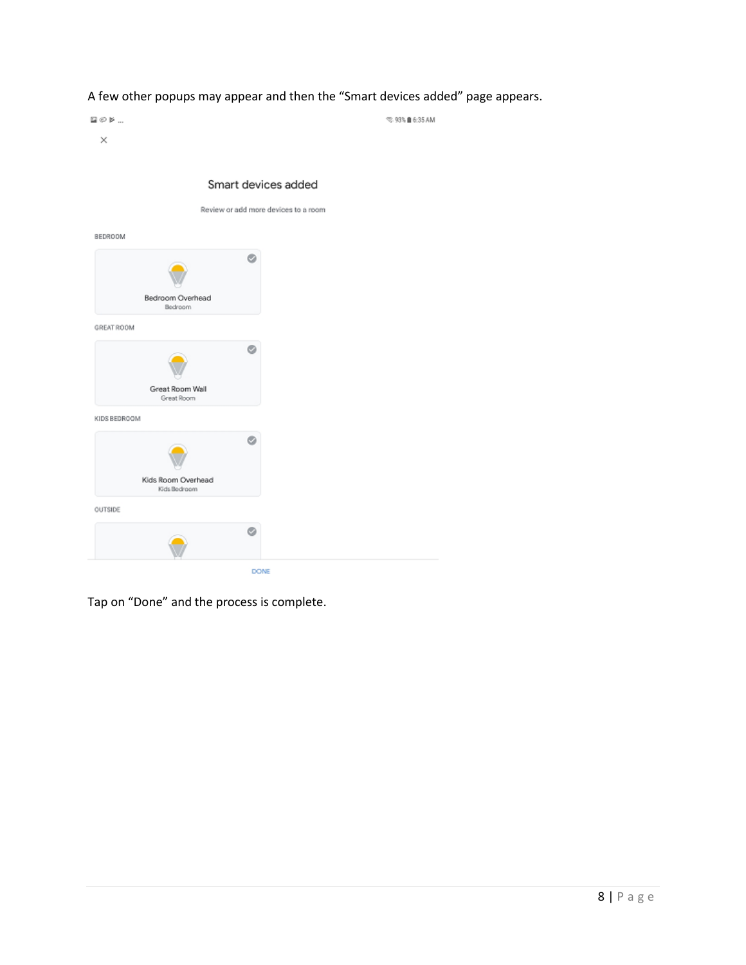### A few other popups may appear and then the "Smart devices added" page appears.

 $\boxtimes$   $\odot$   $\bowtie$  ...  $\otimes$  93%  $\blacksquare$  6:35 AM  $\times$ 

|                                    | o |
|------------------------------------|---|
|                                    |   |
| Bedroom Overhead<br>Bedroom        |   |
| GREAT ROOM                         |   |
|                                    | ø |
| Great Room Wall<br>Great Room      |   |
| KIDS BEDROOM                       |   |
|                                    | Ò |
| Kids Room Overhead<br>Kids Bedroom |   |
| OUTSIDE                            |   |
|                                    | ø |

#### Smart devices added

Review or add more devices to a room

Tap on "Done" and the process is complete.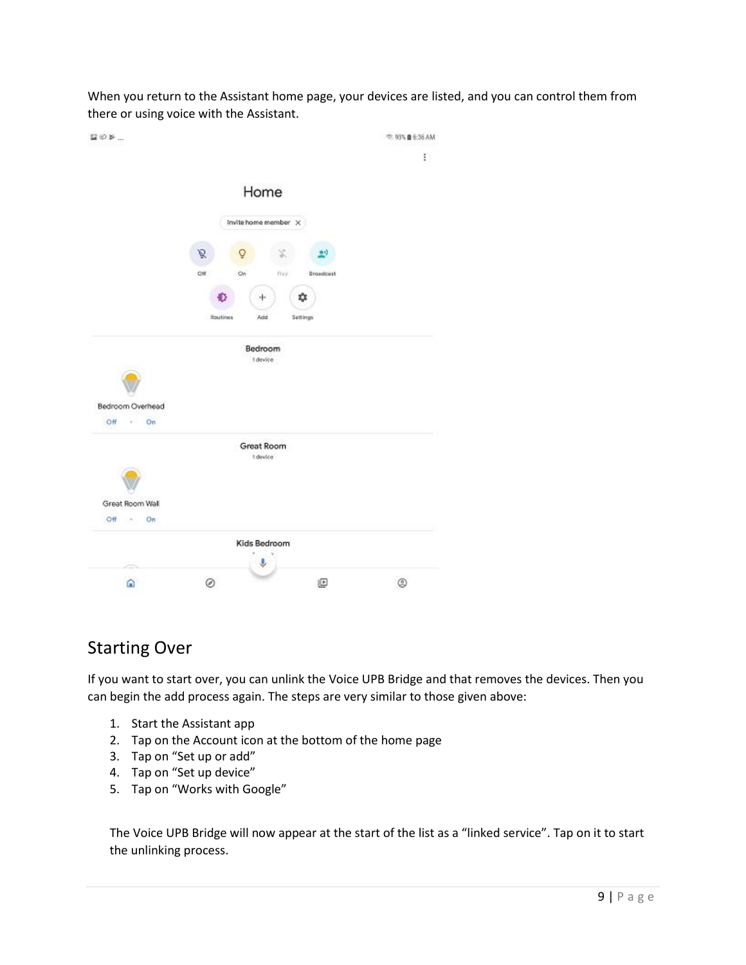When you return to the Assistant home page, your devices are listed, and you can control them from there or using voice with the Assistant.

| $205 -$                        | <sup>₩</sup> 93% <b>B</b> 6:36 AM |
|--------------------------------|-----------------------------------|
|                                | Ð                                 |
| Home                           |                                   |
| Invite home member X           |                                   |
| ø                              |                                   |
| Off<br>On<br>Hay.<br>Broadcast |                                   |
| ٠<br>÷.                        |                                   |
| Routines<br>Add<br>Settings    |                                   |
| Bedroom<br>1 device            |                                   |
| Bedroom Overhead               |                                   |
| $Off$ $=$<br>On                |                                   |
| Great Room<br>1 device         |                                   |
|                                |                                   |
| Great Room Wall                |                                   |
| $OH \rightarrow On$            |                                   |
| Kids Bedroom                   |                                   |
| ◎<br>@<br>ω                    | ø                                 |

## Starting Over

If you want to start over, you can unlink the Voice UPB Bridge and that removes the devices. Then you can begin the add process again. The steps are very similar to those given above:

- 1. Start the Assistant app
- 2. Tap on the Account icon at the bottom of the home page
- 3. Tap on "Set up or add"
- 4. Tap on "Set up device"
- 5. Tap on "Works with Google"

The Voice UPB Bridge will now appear at the start of the list as a "linked service". Tap on it to start the unlinking process.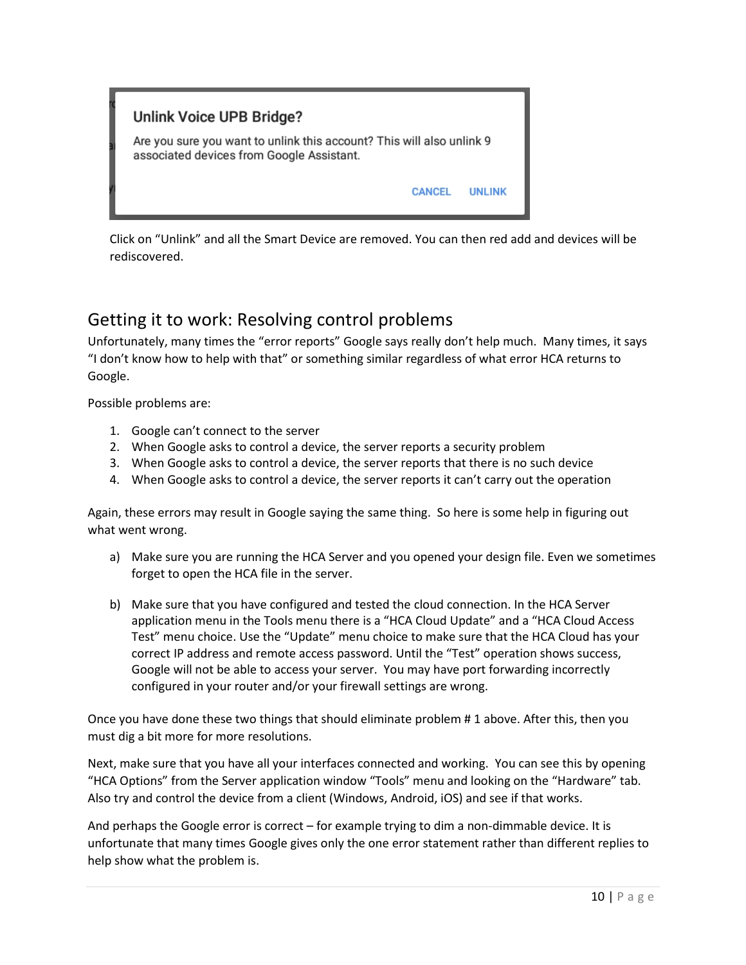

Click on "Unlink" and all the Smart Device are removed. You can then red add and devices will be rediscovered.

## Getting it to work: Resolving control problems

Unfortunately, many times the "error reports" Google says really don't help much. Many times, it says "I don't know how to help with that" or something similar regardless of what error HCA returns to Google.

Possible problems are:

- 1. Google can't connect to the server
- 2. When Google asks to control a device, the server reports a security problem
- 3. When Google asks to control a device, the server reports that there is no such device
- 4. When Google asks to control a device, the server reports it can't carry out the operation

Again, these errors may result in Google saying the same thing. So here is some help in figuring out what went wrong.

- a) Make sure you are running the HCA Server and you opened your design file. Even we sometimes forget to open the HCA file in the server.
- b) Make sure that you have configured and tested the cloud connection. In the HCA Server application menu in the Tools menu there is a "HCA Cloud Update" and a "HCA Cloud Access Test" menu choice. Use the "Update" menu choice to make sure that the HCA Cloud has your correct IP address and remote access password. Until the "Test" operation shows success, Google will not be able to access your server. You may have port forwarding incorrectly configured in your router and/or your firewall settings are wrong.

Once you have done these two things that should eliminate problem # 1 above. After this, then you must dig a bit more for more resolutions.

Next, make sure that you have all your interfaces connected and working. You can see this by opening "HCA Options" from the Server application window "Tools" menu and looking on the "Hardware" tab. Also try and control the device from a client (Windows, Android, iOS) and see if that works.

And perhaps the Google error is correct – for example trying to dim a non-dimmable device. It is unfortunate that many times Google gives only the one error statement rather than different replies to help show what the problem is.